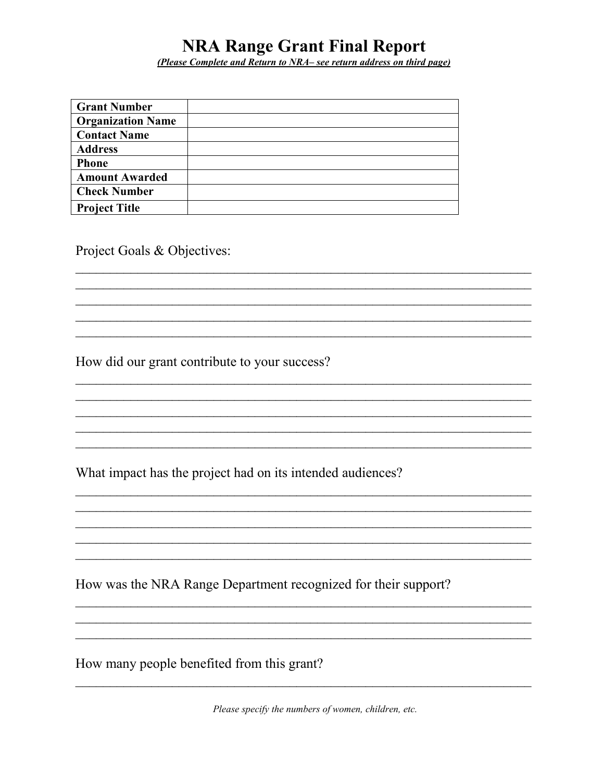## **NRA Range Grant Final Report**

(Please Complete and Return to NRA– see return address on third page)

<u> 1999 - 1999 - 1999 - 1999 - 1999 - 1999 - 1999 - 1999 - 1999 - 1999 - 1999 - 1999 - 1999 - 1999 - 1999 - 199</u>

| <b>Grant Number</b>      |  |
|--------------------------|--|
| <b>Organization Name</b> |  |
| <b>Contact Name</b>      |  |
| <b>Address</b>           |  |
| <b>Phone</b>             |  |
| <b>Amount Awarded</b>    |  |
| <b>Check Number</b>      |  |
| <b>Project Title</b>     |  |

Project Goals & Objectives:

How did our grant contribute to your success?

What impact has the project had on its intended audiences?

How was the NRA Range Department recognized for their support?

How many people benefited from this grant?

Please specify the numbers of women, children, etc.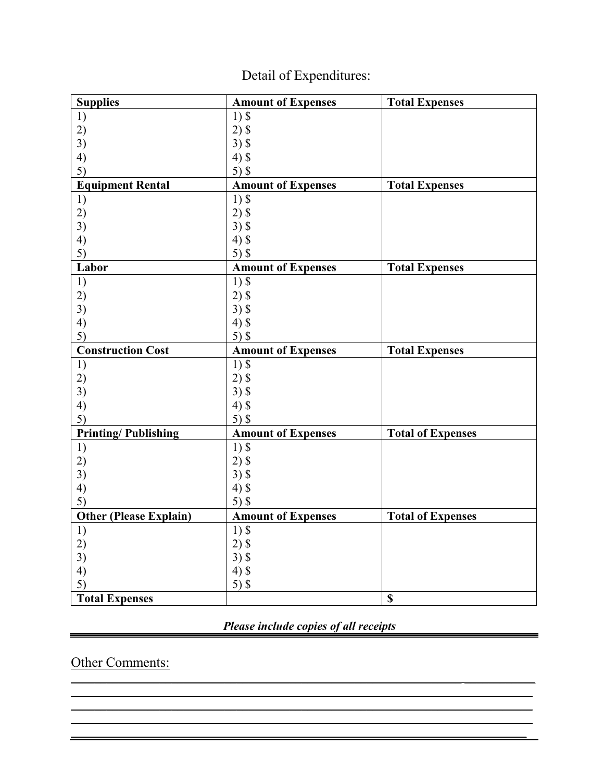## Detail of Expenditures:

| <b>Supplies</b>               | <b>Amount of Expenses</b> | <b>Total Expenses</b>    |
|-------------------------------|---------------------------|--------------------------|
| 1)                            | $1)$ \$                   |                          |
| 2)                            | $2)$ \$                   |                          |
| 3)                            | $3)$ \$                   |                          |
| 4)                            | $4)$ \$                   |                          |
| 5)                            | $5)$ \$                   |                          |
| <b>Equipment Rental</b>       | <b>Amount of Expenses</b> | <b>Total Expenses</b>    |
| 1)                            | $1)$ \$                   |                          |
| 2)                            | $2)$ \$                   |                          |
| 3)                            | $3)$ \$                   |                          |
| 4)                            | $4)$ \$                   |                          |
| 5)                            | $5)$ \$                   |                          |
| Labor                         | <b>Amount of Expenses</b> | <b>Total Expenses</b>    |
| 1)                            | $1)$ \$                   |                          |
| 2)                            | $2)$ \$                   |                          |
| 3)                            | $3)$ \$                   |                          |
| 4)                            | $4)$ \$                   |                          |
| 5)                            | $5)$ \$                   |                          |
| <b>Construction Cost</b>      | <b>Amount of Expenses</b> | <b>Total Expenses</b>    |
| 1)                            | $1)$ \$                   |                          |
| 2)                            | $2)$ \$                   |                          |
| 3)                            | $3)$ \$                   |                          |
| 4)                            | $4)$ \$                   |                          |
| 5)                            | $5)$ \$                   |                          |
| <b>Printing/Publishing</b>    | <b>Amount of Expenses</b> | <b>Total of Expenses</b> |
| 1)                            | $1)$ \$                   |                          |
| 2)                            | $2)$ \$                   |                          |
| 3)                            | $3)$ \$                   |                          |
| 4)                            | $4)$ \$                   |                          |
| 5)                            | $5)$ \$                   |                          |
| <b>Other (Please Explain)</b> | <b>Amount of Expenses</b> | <b>Total of Expenses</b> |
| 1)                            | $1)\overline{\$}$         |                          |
| 2)                            | $2)$ \$                   |                          |
| 3)                            | $3)$ \$                   |                          |
| 4)                            | $4)$ \$                   |                          |
| 5)                            | $5)$ \$                   |                          |
| <b>Total Expenses</b>         |                           | $\mathbf S$              |

*Please include copies of all receipts*

 $\mathcal{L}_\mathcal{L} = \mathcal{L}_\mathcal{L} = \mathcal{L}_\mathcal{L} = \mathcal{L}_\mathcal{L} = \mathcal{L}_\mathcal{L} = \mathcal{L}_\mathcal{L} = \mathcal{L}_\mathcal{L} = \mathcal{L}_\mathcal{L} = \mathcal{L}_\mathcal{L} = \mathcal{L}_\mathcal{L} = \mathcal{L}_\mathcal{L} = \mathcal{L}_\mathcal{L} = \mathcal{L}_\mathcal{L} = \mathcal{L}_\mathcal{L} = \mathcal{L}_\mathcal{L} = \mathcal{L}_\mathcal{L} = \mathcal{L}_\mathcal{L}$ \_\_\_\_\_\_\_\_\_\_\_\_\_\_\_\_\_\_\_\_\_\_\_\_\_\_\_\_\_\_\_\_\_\_\_\_\_\_\_\_\_\_\_\_\_\_\_\_\_\_\_\_\_\_\_\_\_\_\_\_\_\_\_\_\_\_\_\_\_\_\_\_\_\_\_\_\_\_ \_\_\_\_\_\_\_\_\_\_\_\_\_\_\_\_\_\_\_\_\_\_\_\_\_\_\_\_\_\_\_\_\_\_\_\_\_\_\_\_\_\_\_\_\_\_\_\_\_\_\_\_\_\_\_\_\_\_\_\_\_\_\_\_\_\_\_\_\_\_\_\_\_\_\_\_\_\_ \_\_\_\_\_\_\_\_\_\_\_\_\_\_\_\_\_\_\_\_\_\_\_\_\_\_\_\_\_\_\_\_\_\_\_\_\_\_\_\_\_\_\_\_\_\_\_\_\_\_\_\_\_\_\_\_\_\_\_\_\_\_\_\_\_\_\_\_\_\_\_\_\_\_\_\_\_\_ \_\_\_\_\_\_\_\_\_\_\_\_\_\_\_\_\_\_\_\_\_\_\_\_\_\_\_\_\_\_\_\_\_\_\_\_\_\_\_\_\_\_\_\_\_\_\_\_\_\_\_\_\_\_\_\_\_\_\_\_\_\_\_\_\_\_\_\_\_\_\_\_\_\_\_\_\_

Other Comments: